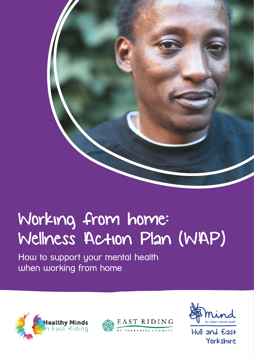

# Working from home: Wellness Action Plan (WAP)

How to support your mental health when working from home







Hull and East Yorkshire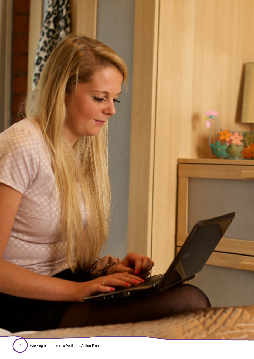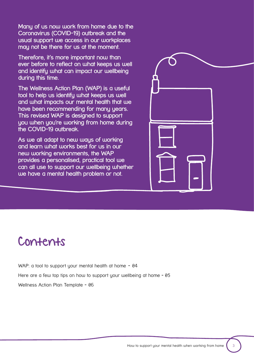**Many of us now work from home due to the Coronavirus (COVID-19) outbreak and the usual support we access in our workplaces may not be there for us at the moment.**

**Therefore, it's more important now than ever before to reflect on what keeps us well and identify what can impact our wellbeing during this time.**

**The Wellness Action Plan (WAP) is a useful tool to help us identify what keeps us well and what impacts our mental health that we have been recommending for many years. This revised WAP is designed to support you when you're working from home during the COVID-19 outbreak.**

**As we all adapt to new ways of working and learn what works best for us in our new working environments, the WAP provides a personalised, practical tool we can all use to support our wellbeing whether we have a mental health problem or not.**

# Contents

WAP: a tool to support your mental health at home - 04 Here are a few top tips on how to support your wellbeing at home - 05 Wellness Action Plan Template - 06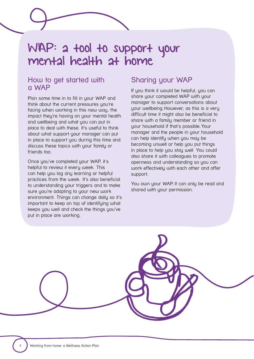# WAP: a tool to support your mental health at home

#### How to get started with a WAP

Plan some time in to fill in your WAP and think about the current pressures you're facing when working in this new way, the impact they're having on your mental health and wellbeing and what you can put in place to deal with these. It's useful to think about what support your manager can put in place to support you during this time and discuss these topics with your family or friends too.

Once you've completed your WAP, it's helpful to review it every week. This can help you log any learning or helpful practices from the week. It's also beneficial to understanding your triggers and to make sure you're adapting to your new work environment. Things can change daily so it's important to keep on top of identifuing what keeps you well and check the things you've put in place are working.

# Sharing your WAP

If you think it would be helpful, you can share your completed WAP with your manager to support conversations about your wellbeing. However, as this is a very difficult time it might also be beneficial to share with a family member or friend in your household if that's possible. Your manager and the people in your household can help identify when you may be becoming unwell or help you put things in place to help you stay well You could also share it with colleagues to promote openness and understanding so you can work effectively with each other and offer support.

You own your WAP. It can only be read and shared with your permission.

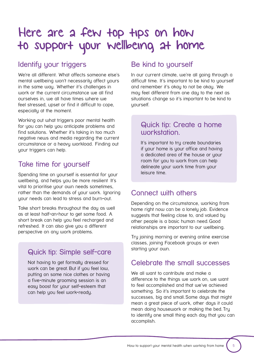# Here are a few top tips on how to support your wellbeing at home

### Identify your triggers

We're all different. What affects someone else's mental wellbeing won't necessarily affect yours in the same way. Whether it's challenges in work or the current circumstance we all find ourselves in, we all have times where we feel stressed, upset or find it difficult to cope, especially at the moment.

Working out what triggers poor mental health for you can help you anticipate problems and find solutions. Whether it's taking in too much negative news and media regarding the current circumstance or a heavy workload. Finding out your triggers can help.

# Take time for yourself

Spending time on yourself is essential for your wellbeing, and helps you be more resilient It's vital to prioritise your own needs sometimes, rather than the demands of your work. Ignoring your needs can lead to stress and burn-out.

Take short breaks throughout the day as well as at least half-an-hour to get some food. A short break can help you feel recharged and refreshed. It can also give you a different perspective on any work problems.

### Quick tip: Simple self-care

Not having to get formally dressed for work can be great. But if you feel low, putting on some nice clothes or having a five-minute grooming session is an easy boost for your self-esteem that can help you feel work-ready.

### Be kind to yourself

In our current climate, we're all going through a difficult time. It's important to be kind to yourself and remember it's okay to not be okay. We may feel different from one day to the next as situations change so it's important to be kind to uourself.

#### Quick tip: Create a home workstation.

It's important to try create boundaries if your home is your office and having a dedicated area of the house or your room for you to work from can help delineate your work time from your leisure time.

### Connect with others

Depending on the circumstance, working from home right now can be a lonely job. Evidence suggests that feeling close to, and valued by other people is a basic human need. Good relationships are important to our wellbeing.

Try joining morning or evening online exercise classes, joining Facebook groups or even starting your own.

#### Celebrate the small successes

We all want to contribute and make a difference to the things we work on, we want to feel accomplished and that we've achieved something. So it's important to celebrate the successes, big and small. Some days that might mean a great piece of work, other days it could mean doing housework or making the bed. Try to identify one small thing each day that you can accomplish.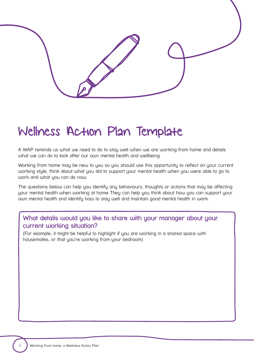

# Wellness Action Plan Template

A WAP reminds us what we need to do to stay well when we are working from home and details what we can do to look after our own mental health and wellbeing.

Working from home may be new to you so you should use this opportunity to reflect on your current working style, think about what you did to support your mental health when you were able to go to work and what you can do now.

The questions below can help you identify any behaviours, thoughts or actions that may be affecting your mental health when working at home. They can help you think about how you can support your own mental health and identify how to stay well and maintain good mental health in work.

#### **What details would you like to share with your manager about your current working situation?**

(For example, it might be helpful to highlight if you are working in a shared space with housemates, or that you're working from your bedroom)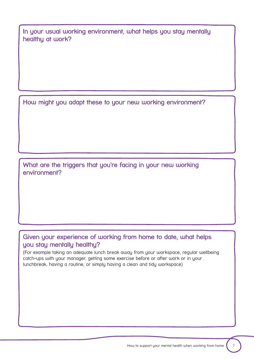**In your usual working environment, what helps you stay mentally healthy at work?**

**How might you adapt these to your new working environment?**

**What are the triggers that you're facing in your new working environment?**

#### **Given your experience of working from home to date, what helps you stay mentally healthy?**

(For example taking an adequate lunch break away from your workspace, regular wellbeing catch-ups with your manager, getting some exercise before or after work or in your lunchbreak, having a routine, or simply having a clean and tidy workspace)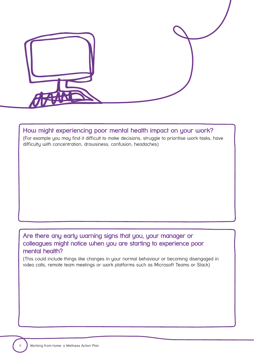

#### **How might experiencing poor mental health impact on your work?**

(For example you may find it difficult to make decisions, struggle to prioritise work tasks, have difficulty with concentration, drowsiness, confusion, headaches)

#### **Are there any early warning signs that you, your manager or colleagues might notice when you are starting to experience poor mental health?**

(This could include things like changes in your normal behaviour or becoming disengaged in video calls, remote team meetings or work platforms such as Microsoft Teams or Slack)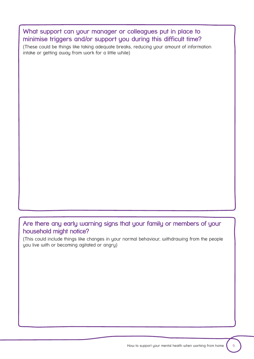**What support can your manager or colleagues put in place to minimise triggers and/or support you during this difficult time?**

(These could be things like taking adequate breaks, reducing your amount of information intake or getting away from work for a little while)

**Are there any early warning signs that your family or members of your household might notice?**

(This could include things like changes in your normal behaviour, withdrawing from the people you live with or becoming agitated or angry)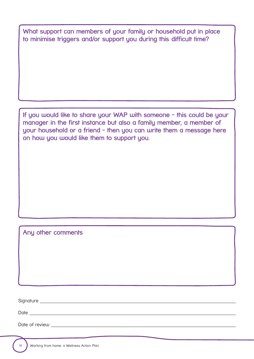**What support can members of your family or household put in place to minimise triggers and/or support you during this difficult time?**

**If you would like to share your WAP with someone - this could be your manager in the first instance but also a family member, a member of your household or a friend - then you can write them a message here on how you would like them to support you.**

**Any other comments**

Signature experience and the state of the state of the state of the state of the state of the state of the state of the state of the state of the state of the state of the state of the state of the state of the state of th

Date and the state of the state of the state of the state of the state of the state of the state of the state of the state of the state of the state of the state of the state of the state of the state of the state of the s

Date of review